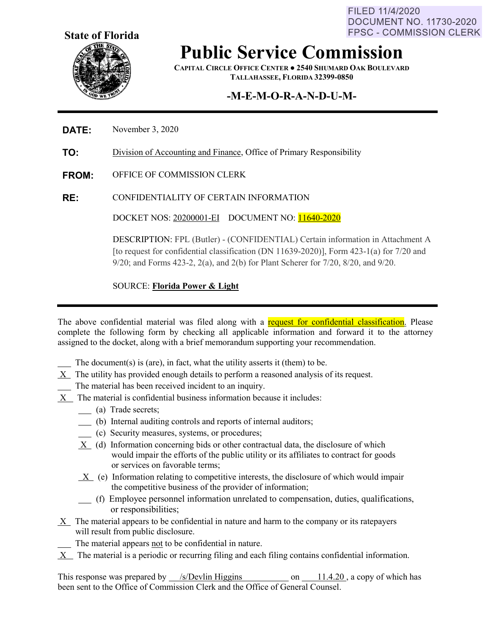FILED 11/4/2020 **DOCUMENT NO. 11730-2020 FPSC - COMMISSION CLERK** 



## **Public Service Commission**

**CAPITAL CIRCLE OFFICE CENTER ● 2540 SHUMARD OAK BOULEVARD TALLAHASSEE, FLORIDA 32399-0850**

### **-M-E-M-O-R-A-N-D-U-M-**

#### **DATE:** November 3, 2020

**TO:** Division of Accounting and Finance, Office of Primary Responsibility

- **FROM:** OFFICE OF COMMISSION CLERK
- **RE:** CONFIDENTIALITY OF CERTAIN INFORMATION

DOCKET NOS: 20200001-EI DOCUMENT NO: 11640-2020

DESCRIPTION: FPL (Butler) - (CONFIDENTIAL) Certain information in Attachment A [to request for confidential classification (DN 11639-2020)], Form 423-1(a) for 7/20 and 9/20; and Forms 423-2, 2(a), and 2(b) for Plant Scherer for 7/20, 8/20, and 9/20.

SOURCE: **Florida Power & Light**

The above confidential material was filed along with a request for confidential classification. Please complete the following form by checking all applicable information and forward it to the attorney assigned to the docket, along with a brief memorandum supporting your recommendation.

- The document(s) is (are), in fact, what the utility asserts it (them) to be.
- X The utility has provided enough details to perform a reasoned analysis of its request.
- The material has been received incident to an inquiry.
- X The material is confidential business information because it includes:
	- (a) Trade secrets;
	- (b) Internal auditing controls and reports of internal auditors;
	- (c) Security measures, systems, or procedures;
	- X (d) Information concerning bids or other contractual data, the disclosure of which would impair the efforts of the public utility or its affiliates to contract for goods or services on favorable terms;
	- X (e) Information relating to competitive interests, the disclosure of which would impair the competitive business of the provider of information;
	- (f) Employee personnel information unrelated to compensation, duties, qualifications, or responsibilities;
- X The material appears to be confidential in nature and harm to the company or its ratepayers will result from public disclosure.
	- The material appears not to be confidential in nature.
- $X$  The material is a periodic or recurring filing and each filing contains confidential information.

This response was prepared by /s/Devlin Higgins on 11.4.20, a copy of which has been sent to the Office of Commission Clerk and the Office of General Counsel.